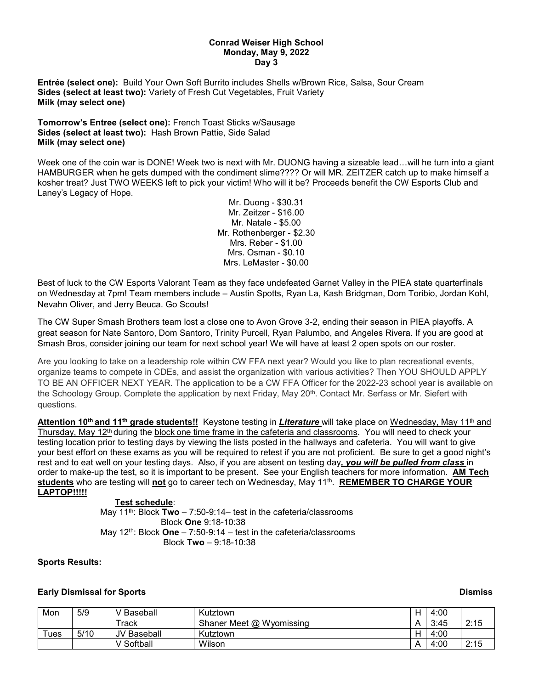### **Conrad Weiser High School Monday, May 9, 2022 Day 3**

**Entrée (select one):** Build Your Own Soft Burrito includes Shells w/Brown Rice, Salsa, Sour Cream **Sides (select at least two):** Variety of Fresh Cut Vegetables, Fruit Variety **Milk (may select one)**

**Tomorrow's Entree (select one):** French Toast Sticks w/Sausage **Sides (select at least two):** Hash Brown Pattie, Side Salad **Milk (may select one)**

Week one of the coin war is DONE! Week two is next with Mr. DUONG having a sizeable lead...will he turn into a giant HAMBURGER when he gets dumped with the condiment slime???? Or will MR. ZEITZER catch up to make himself a kosher treat? Just TWO WEEKS left to pick your victim! Who will it be? Proceeds benefit the CW Esports Club and Laney's Legacy of Hope.

Mr. Duong - \$30.31 Mr. Zeitzer - \$16.00 Mr. Natale - \$5.00 Mr. Rothenberger - \$2.30 Mrs. Reber - \$1.00 Mrs. Osman - \$0.10 Mrs. LeMaster - \$0.00

Best of luck to the CW Esports Valorant Team as they face undefeated Garnet Valley in the PIEA state quarterfinals on Wednesday at 7pm! Team members include – Austin Spotts, Ryan La, Kash Bridgman, Dom Toribio, Jordan Kohl, Nevahn Oliver, and Jerry Beuca. Go Scouts!

The CW Super Smash Brothers team lost a close one to Avon Grove 3-2, ending their season in PIEA playoffs. A great season for Nate Santoro, Dom Santoro, Trinity Purcell, Ryan Palumbo, and Angeles Rivera. If you are good at Smash Bros, consider joining our team for next school year! We will have at least 2 open spots on our roster.

Are you looking to take on a leadership role within CW FFA next year? Would you like to plan recreational events, organize teams to compete in CDEs, and assist the organization with various activities? Then YOU SHOULD APPLY TO BE AN OFFICER NEXT YEAR. The application to be a CW FFA Officer for the 2022-23 school year is available on the Schoology Group. Complete the application by next Friday, May 20<sup>th</sup>. Contact Mr. Serfass or Mr. Siefert with questions.

Attention 10<sup>th</sup> and 11<sup>th</sup> grade students!! Keystone testing in *Literature* will take place on Wednesday, May 11<sup>th</sup> and Thursday, May 12<sup>th</sup> during the block one time frame in the cafeteria and classrooms. You will need to check your testing location prior to testing days by viewing the lists posted in the hallways and cafeteria. You will want to give your best effort on these exams as you will be required to retest if you are not proficient. Be sure to get a good night's rest and to eat well on your testing days. Also, if you are absent on testing day*, you will be pulled from class* in order to make-up the test, so it is important to be present. See your English teachers for more information. **AM Tech students** who are testing will **not** go to career tech on Wednesday, May 11th. **REMEMBER TO CHARGE YOUR LAPTOP!!!!!**

# **Test schedule**:

May 11<sup>th</sup>: Block **Two** – 7:50-9:14– test in the cafeteria/classrooms Block **One** 9:18-10:38 May 12<sup>th</sup>: Block **One** – 7:50-9:14 – test in the cafeteria/classrooms Block **Two** – 9:18-10:38

# **Sports Results:**

# **Early Dismissal for Sports Dismiss**

| Mon     | 5/9  | Baseball          | Kutztown                 | Н            | 4:00 |      |
|---------|------|-------------------|--------------------------|--------------|------|------|
|         |      | <sup>-</sup> rack | Shaner Meet @ Wyomissing | Α            | 3:45 | 2:15 |
| $T$ ues | 5/10 | JV Baseball       | Kutztown                 | $\mathsf{H}$ | 4:00 |      |
|         |      | Softball          | Wilson                   | Α            | 4:00 | 2:15 |